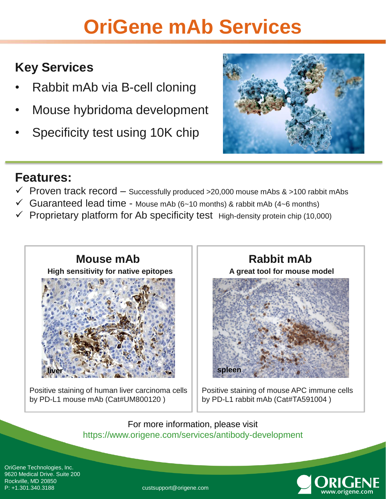## **OriGene mAb Services**

### **Key Services**

- Rabbit mAb via B-cell cloning
- Mouse hybridoma development
- Specificity test using 10K chip



### **Features:**

- $\checkmark$  Proven track record Successfully produced >20,000 mouse mAbs & >100 rabbit mAbs
- $\checkmark$  Guaranteed lead time Mouse mAb (6~10 months) & rabbit mAb (4~6 months)
- Proprietary platform for Ab specificity test High-density protein chip (10,000)



Positive staining of human liver carcinoma cells by PD-L1 mouse mAb (Cat#UM800120 )

**A great tool for mouse model** 



Positive staining of mouse APC immune cells by PD-L1 rabbit mAb (Cat#TA591004 )

For more information, please visit https://www.origene.com/services/antibody-development

OriGene Technologies, Inc. 9620 Medical Drive. Suite 200 Rockville, MD 20850 P: +1.301.340.3188 custsupport@origene.com